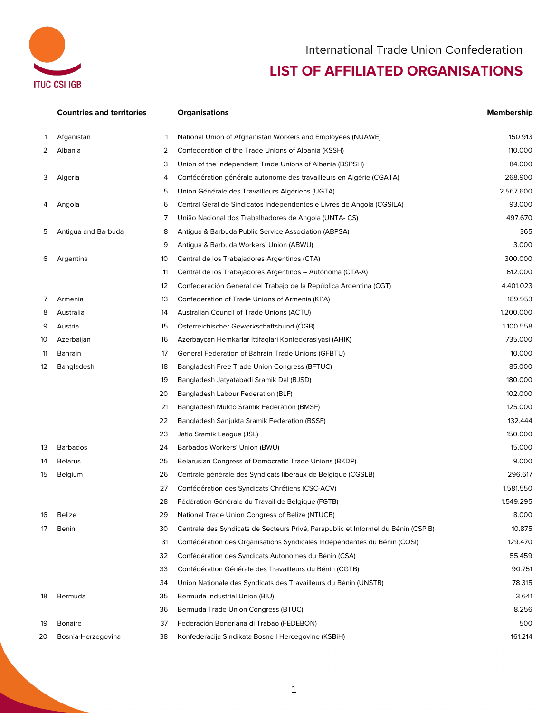

## International Trade Union Confederation

## **LIST OF AFFILIATED ORGANISATIONS**

|    | <b>Countries and territories</b> |    | <b>Organisations</b>                                                              | <b>Membership</b> |
|----|----------------------------------|----|-----------------------------------------------------------------------------------|-------------------|
| 1  | Afganistan                       | 1  | National Union of Afghanistan Workers and Employees (NUAWE)                       | 150.913           |
| 2  | Albania                          | 2  | Confederation of the Trade Unions of Albania (KSSH)                               | 110.000           |
|    |                                  | 3  | Union of the Independent Trade Unions of Albania (BSPSH)                          | 84.000            |
| 3  | Algeria                          | 4  | Confédération générale autonome des travailleurs en Algérie (CGATA)               | 268.900           |
|    |                                  | 5  | Union Générale des Travailleurs Algériens (UGTA)                                  | 2.567.600         |
| 4  | Angola                           | 6  | Central Geral de Sindicatos Independentes e Livres de Angola (CGSILA)             | 93.000            |
|    |                                  | 7  | União Nacional dos Trabalhadores de Angola (UNTA-CS)                              | 497.670           |
| 5  | Antigua and Barbuda              | 8  | Antigua & Barbuda Public Service Association (ABPSA)                              | 365               |
|    |                                  | 9  | Antigua & Barbuda Workers' Union (ABWU)                                           | 3.000             |
| 6  | Argentina                        | 10 | Central de los Trabajadores Argentinos (CTA)                                      | 300.000           |
|    |                                  | 11 | Central de los Trabajadores Argentinos – Autónoma (CTA-A)                         | 612.000           |
|    |                                  | 12 | Confederación General del Trabajo de la República Argentina (CGT)                 | 4.401.023         |
| 7  | Armenia                          | 13 | Confederation of Trade Unions of Armenia (KPA)                                    | 189.953           |
| 8  | Australia                        | 14 | Australian Council of Trade Unions (ACTU)                                         | 1.200.000         |
| 9  | Austria                          | 15 | Österreichischer Gewerkschaftsbund (ÖGB)                                          | 1.100.558         |
| 10 | Azerbaijan                       | 16 | Azerbaycan Hemkarlar Ittifaqlari Konfederasiyasi (AHIK)                           | 735.000           |
| 11 | <b>Bahrain</b>                   | 17 | General Federation of Bahrain Trade Unions (GFBTU)                                | 10.000            |
| 12 | Bangladesh                       | 18 | Bangladesh Free Trade Union Congress (BFTUC)                                      | 85.000            |
|    |                                  | 19 | Bangladesh Jatyatabadi Sramik Dal (BJSD)                                          | 180.000           |
|    |                                  | 20 | Bangladesh Labour Federation (BLF)                                                | 102.000           |
|    |                                  | 21 | Bangladesh Mukto Sramik Federation (BMSF)                                         | 125.000           |
|    |                                  | 22 | Bangladesh Sanjukta Sramik Federation (BSSF)                                      | 132.444           |
|    |                                  | 23 | Jatio Sramik League (JSL)                                                         | 150.000           |
| 13 | <b>Barbados</b>                  | 24 | Barbados Workers' Union (BWU)                                                     | 15.000            |
| 14 | <b>Belarus</b>                   | 25 | Belarusian Congress of Democratic Trade Unions (BKDP)                             | 9.000             |
| 15 | Belgium                          | 26 | Centrale générale des Syndicats libéraux de Belgique (CGSLB)                      | 296.617           |
|    |                                  | 27 | Confédération des Syndicats Chrétiens (CSC-ACV)                                   | 1.581.550         |
|    |                                  | 28 | Fédération Générale du Travail de Belgique (FGTB)                                 | 1.549.295         |
| 16 | <b>Belize</b>                    | 29 | National Trade Union Congress of Belize (NTUCB)                                   | 8.000             |
| 17 | Benin                            | 30 | Centrale des Syndicats de Secteurs Privé, Parapublic et Informel du Bénin (CSPIB) | 10.875            |
|    |                                  | 31 | Confédération des Organisations Syndicales Indépendantes du Bénin (COSI)          | 129.470           |
|    |                                  | 32 | Confédération des Syndicats Autonomes du Bénin (CSA)                              | 55.459            |
|    |                                  | 33 | Confédération Générale des Travailleurs du Bénin (CGTB)                           | 90.751            |
|    |                                  | 34 | Union Nationale des Syndicats des Travailleurs du Bénin (UNSTB)                   | 78.315            |
| 18 | Bermuda                          | 35 | Bermuda Industrial Union (BIU)                                                    | 3.641             |
|    |                                  | 36 | Bermuda Trade Union Congress (BTUC)                                               | 8.256             |
| 19 | <b>Bonaire</b>                   | 37 | Federación Boneriana di Trabao (FEDEBON)                                          | 500               |
| 20 | Bosnia-Herzegovina               | 38 | Konfederacija Sindikata Bosne I Hercegovine (KSBiH)                               | 161.214           |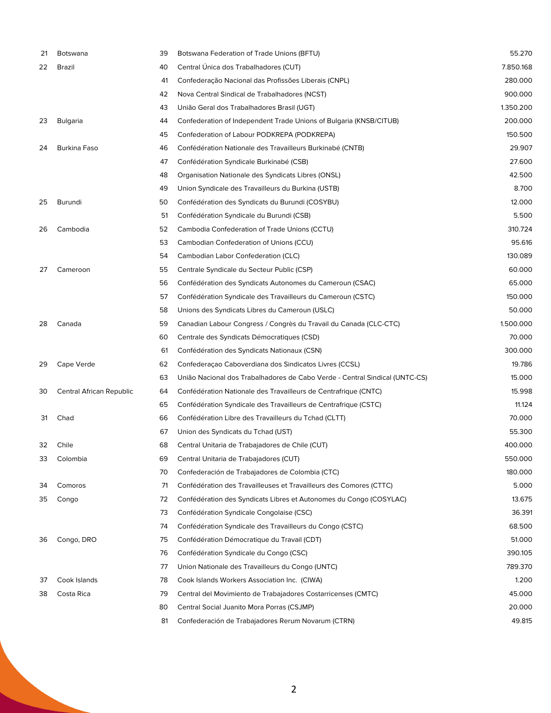| 21 | <b>Botswana</b>          | 39 | Botswana Federation of Trade Unions (BFTU)                                  | 55.270    |
|----|--------------------------|----|-----------------------------------------------------------------------------|-----------|
| 22 | Brazil                   | 40 | Central Unica dos Trabalhadores (CUT)                                       | 7.850.168 |
|    |                          | 41 | Confederação Nacional das Profissões Liberais (CNPL)                        | 280.000   |
|    |                          | 42 | Nova Central Sindical de Trabalhadores (NCST)                               | 900.000   |
|    |                          | 43 | União Geral dos Trabalhadores Brasil (UGT)                                  | 1.350.200 |
| 23 | Bulgaria                 | 44 | Confederation of Independent Trade Unions of Bulgaria (KNSB/CITUB)          | 200.000   |
|    |                          | 45 | Confederation of Labour PODKREPA (PODKREPA)                                 | 150.500   |
| 24 | <b>Burkina Faso</b>      | 46 | Confédération Nationale des Travailleurs Burkinabé (CNTB)                   | 29.907    |
|    |                          | 47 | Confédération Syndicale Burkinabé (CSB)                                     | 27.600    |
|    |                          | 48 | Organisation Nationale des Syndicats Libres (ONSL)                          | 42.500    |
|    |                          | 49 | Union Syndicale des Travailleurs du Burkina (USTB)                          | 8.700     |
| 25 | Burundi                  | 50 | Confédération des Syndicats du Burundi (COSYBU)                             | 12.000    |
|    |                          | 51 | Confédération Syndicale du Burundi (CSB)                                    | 5.500     |
| 26 | Cambodia                 | 52 | Cambodia Confederation of Trade Unions (CCTU)                               | 310.724   |
|    |                          | 53 | Cambodian Confederation of Unions (CCU)                                     | 95.616    |
|    |                          | 54 | Cambodian Labor Confederation (CLC)                                         | 130.089   |
| 27 | Cameroon                 | 55 | Centrale Syndicale du Secteur Public (CSP)                                  | 60.000    |
|    |                          | 56 | Confédération des Syndicats Autonomes du Cameroun (CSAC)                    | 65.000    |
|    |                          | 57 | Confédération Syndicale des Travailleurs du Cameroun (CSTC)                 | 150.000   |
|    |                          | 58 | Unions des Syndicats Libres du Cameroun (USLC)                              | 50.000    |
| 28 | Canada                   | 59 | Canadian Labour Congress / Congrès du Travail du Canada (CLC-CTC)           | 1.500.000 |
|    |                          | 60 | Centrale des Syndicats Démocratiques (CSD)                                  | 70.000    |
|    |                          | 61 | Confédération des Syndicats Nationaux (CSN)                                 | 300.000   |
| 29 | Cape Verde               | 62 | Confederação Caboverdiana dos Sindicatos Livres (CCSL)                      | 19.786    |
|    |                          | 63 | União Nacional dos Trabalhadores de Cabo Verde - Central Sindical (UNTC-CS) | 15.000    |
| 30 | Central African Republic | 64 | Confédération Nationale des Travailleurs de Centrafrique (CNTC)             | 15.998    |
|    |                          | 65 | Confédération Syndicale des Travailleurs de Centrafrique (CSTC)             | 11.124    |
| 31 | Chad                     | 66 | Confédération Libre des Travailleurs du Tchad (CLTT)                        | 70.000    |
|    |                          | 67 | Union des Syndicats du Tchad (UST)                                          | 55.300    |
| 32 | Chile                    | 68 | Central Unitaria de Trabajadores de Chile (CUT)                             | 400.000   |
| 33 | Colombia                 | 69 | Central Unitaria de Trabajadores (CUT)                                      | 550.000   |
|    |                          | 70 | Confederación de Trabajadores de Colombia (CTC)                             | 180.000   |
| 34 | Comoros                  | 71 | Confédération des Travailleuses et Travailleurs des Comores (CTTC)          | 5.000     |
| 35 | Congo                    | 72 | Confédération des Syndicats Libres et Autonomes du Congo (COSYLAC)          | 13.675    |
|    |                          | 73 | Confédération Syndicale Congolaise (CSC)                                    | 36.391    |
|    |                          | 74 | Confédération Syndicale des Travailleurs du Congo (CSTC)                    | 68.500    |
| 36 | Congo, DRO               | 75 | Confédération Démocratique du Travail (CDT)                                 | 51.000    |
|    |                          | 76 | Confédération Syndicale du Congo (CSC)                                      | 390.105   |
|    |                          | 77 | Union Nationale des Travailleurs du Congo (UNTC)                            | 789.370   |
| 37 | Cook Islands             | 78 | Cook Islands Workers Association Inc. (CIWA)                                | 1.200     |
| 38 | Costa Rica               | 79 | Central del Movimiento de Trabajadores Costarricenses (CMTC)                | 45.000    |
|    |                          | 80 | Central Social Juanito Mora Porras (CSJMP)                                  | 20.000    |
|    |                          | 81 | Confederación de Trabajadores Rerum Novarum (CTRN)                          | 49.815    |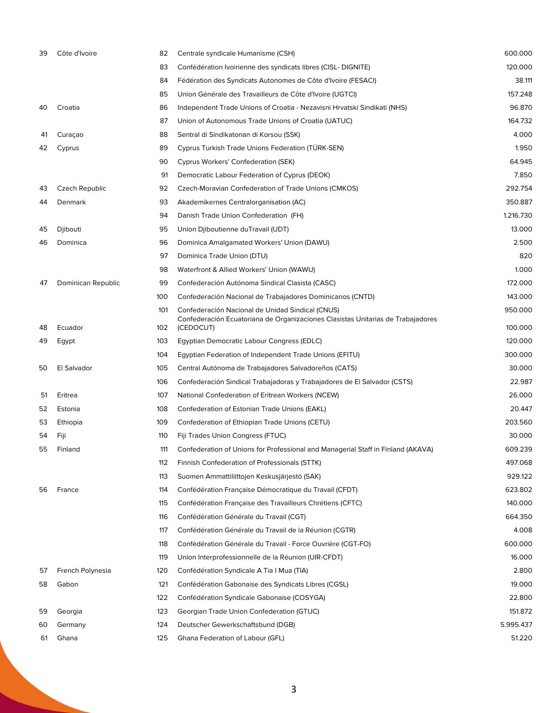| 39 | Côte d'Ivoire      | 82  | Centrale syndicale Humanisme (CSH)                                                           | 600.000   |
|----|--------------------|-----|----------------------------------------------------------------------------------------------|-----------|
|    |                    | 83  | Confédération Ivoirienne des syndicats libres (CISL- DIGNITE)                                | 120.000   |
|    |                    | 84  | Fédération des Syndicats Autonomes de Côte d'Ivoire (FESACI)                                 | 38.111    |
|    |                    | 85  | Union Générale des Travailleurs de Côte d'Ivoire (UGTCI)                                     | 157.248   |
| 40 | Croatia            | 86  | Independent Trade Unions of Croatia - Nezavisni Hrvatski Sindikati (NHS)                     | 96.870    |
|    |                    | 87  | Union of Autonomous Trade Unions of Croatia (UATUC)                                          | 164.732   |
| 41 | Curaçao            | 88  | Sentral di Sindikatonan di Korsou (SSK)                                                      | 4.000     |
| 42 | Cyprus             | 89  | Cyprus Turkish Trade Unions Federation (TURK-SEN)                                            | 1.950     |
|    |                    | 90  | Cyprus Workers' Confederation (SEK)                                                          | 64.945    |
|    |                    | 91  | Democratic Labour Federation of Cyprus (DEOK)                                                | 7.850     |
| 43 | Czech Republic     | 92  | Czech-Moravian Confederation of Trade Unions (CMKOS)                                         | 292.754   |
| 44 | Denmark            | 93  | Akademikernes Centralorganisation (AC)                                                       | 350.887   |
|    |                    | 94  | Danish Trade Union Confederation (FH)                                                        | 1.216.730 |
| 45 | Djibouti           | 95  | Union Djiboutienne duTravail (UDT)                                                           | 13.000    |
| 46 | Dominica           | 96  | Dominica Amalgamated Workers' Union (DAWU)                                                   | 2.500     |
|    |                    | 97  | Dominica Trade Union (DTU)                                                                   | 820       |
|    |                    | 98  | Waterfront & Allied Workers' Union (WAWU)                                                    | 1.000     |
| 47 | Dominican Republic | 99  | Confederación Autónoma Sindical Clasista (CASC)                                              | 172.000   |
|    |                    | 100 | Confederación Nacional de Trabajadores Dominicanos (CNTD)                                    | 143.000   |
|    |                    | 101 | Confederación Nacional de Unidad Sindical (CNUS)                                             | 950.000   |
| 48 | Ecuador            | 102 | Confederación Ecuatoriana de Organizaciones Clasistas Unitarias de Trabajadores<br>(CEDOCUT) | 100.000   |
| 49 | Egypt              | 103 | Egyptian Democratic Labour Congress (EDLC)                                                   | 120.000   |
|    |                    | 104 | Egyptian Federation of Independent Trade Unions (EFITU)                                      | 300.000   |
| 50 | El Salvador        | 105 | Central Autónoma de Trabajadores Salvadoreños (CATS)                                         | 30.000    |
|    |                    | 106 | Confederación Sindical Trabajadoras y Trabajadores de El Salvador (CSTS)                     | 22.987    |
| 51 | Eritrea            | 107 | National Confederation of Eritrean Workers (NCEW)                                            | 26.000    |
| 52 | Estonia            | 108 | Confederation of Estonian Trade Unions (EAKL)                                                | 20.447    |
| 53 | Ethiopia           | 109 | Confederation of Ethiopian Trade Unions (CETU)                                               | 203.560   |
| 54 | Fiji               | 110 | Fiji Trades Union Congress (FTUC)                                                            | 30.000    |
| 55 | Finland            | 111 | Confederation of Unions for Professional and Managerial Staff in Finland (AKAVA)             | 609.239   |
|    |                    | 112 | Finnish Confederation of Professionals (STTK)                                                | 497.068   |
|    |                    | 113 | Suomen Ammattiliittojen Keskusjärjestö (SAK)                                                 | 929.122   |
| 56 | France             | 114 | Confédération Française Démocratique du Travail (CFDT)                                       | 623.802   |
|    |                    | 115 | Confédération Française des Travailleurs Chrétiens (CFTC)                                    | 140.000   |
|    |                    | 116 | Confédération Générale du Travail (CGT)                                                      | 664.350   |
|    |                    | 117 | Confédération Générale du Travail de la Réunion (CGTR)                                       | 4.008     |
|    |                    | 118 | Confédération Générale du Travail - Force Ouvrière (CGT-FO)                                  | 600.000   |
|    |                    | 119 | Union Interprofessionnelle de la Réunion (UIR-CFDT)                                          | 16.000    |
| 57 | French Polynesia   | 120 | Confédération Syndicale A Tia I Mua (TIA)                                                    | 2.800     |
| 58 | Gabon              | 121 | Confédération Gabonaise des Syndicats Libres (CGSL)                                          | 19.000    |
|    |                    | 122 | Confédération Syndicale Gabonaise (COSYGA)                                                   | 22.800    |
| 59 | Georgia            | 123 | Georgian Trade Union Confederation (GTUC)                                                    | 151.872   |
| 60 | Germany            | 124 | Deutscher Gewerkschaftsbund (DGB)                                                            | 5.995.437 |
| 61 | Ghana              | 125 | Ghana Federation of Labour (GFL)                                                             | 51.220    |
|    |                    |     |                                                                                              |           |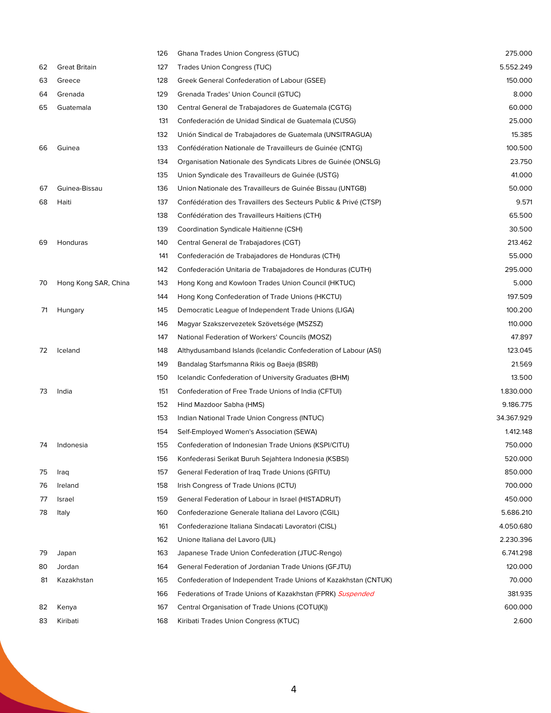|    |                      | 126 | <b>Ghana Trades Union Congress (GTUC)</b>                        | 275.000    |
|----|----------------------|-----|------------------------------------------------------------------|------------|
| 62 | <b>Great Britain</b> | 127 | <b>Trades Union Congress (TUC)</b>                               | 5.552.249  |
| 63 | Greece               | 128 | Greek General Confederation of Labour (GSEE)                     | 150.000    |
| 64 | Grenada              | 129 | Grenada Trades' Union Council (GTUC)                             | 8.000      |
| 65 | Guatemala            | 130 | Central General de Trabajadores de Guatemala (CGTG)              | 60.000     |
|    |                      | 131 | Confederación de Unidad Sindical de Guatemala (CUSG)             | 25.000     |
|    |                      | 132 | Unión Sindical de Trabajadores de Guatemala (UNSITRAGUA)         | 15.385     |
| 66 | Guinea               | 133 | Confédération Nationale de Travailleurs de Guinée (CNTG)         | 100.500    |
|    |                      | 134 | Organisation Nationale des Syndicats Libres de Guinée (ONSLG)    | 23.750     |
|    |                      | 135 | Union Syndicale des Travailleurs de Guinée (USTG)                | 41.000     |
| 67 | Guinea-Bissau        | 136 | Union Nationale des Travailleurs de Guinée Bissau (UNTGB)        | 50.000     |
| 68 | Haiti                | 137 | Confédération des Travaillers des Secteurs Public & Privé (CTSP) | 9.571      |
|    |                      | 138 | Confédération des Travailleurs Haïtiens (CTH)                    | 65.500     |
|    |                      | 139 | Coordination Syndicale Haïtienne (CSH)                           | 30.500     |
| 69 | Honduras             | 140 | Central General de Trabajadores (CGT)                            | 213.462    |
|    |                      | 141 | Confederación de Trabajadores de Honduras (CTH)                  | 55.000     |
|    |                      | 142 | Confederación Unitaria de Trabajadores de Honduras (CUTH)        | 295.000    |
| 70 | Hong Kong SAR, China | 143 | Hong Kong and Kowloon Trades Union Council (HKTUC)               | 5.000      |
|    |                      | 144 | Hong Kong Confederation of Trade Unions (HKCTU)                  | 197.509    |
| 71 | Hungary              | 145 | Democratic League of Independent Trade Unions (LIGA)             | 100.200    |
|    |                      | 146 | Magyar Szakszervezetek Szövetsége (MSZSZ)                        | 110.000    |
|    |                      | 147 | National Federation of Workers' Councils (MOSZ)                  | 47.897     |
| 72 | Iceland              | 148 | Althydusamband Islands (Icelandic Confederation of Labour (ASI)  | 123.045    |
|    |                      | 149 | Bandalag Starfsmanna Rikis og Baeja (BSRB)                       | 21.569     |
|    |                      | 150 | Icelandic Confederation of University Graduates (BHM)            | 13.500     |
| 73 | India                | 151 | Confederation of Free Trade Unions of India (CFTUI)              | 1.830.000  |
|    |                      | 152 | Hind Mazdoor Sabha (HMS)                                         | 9.186.775  |
|    |                      | 153 | Indian National Trade Union Congress (INTUC)                     | 34.367.929 |
|    |                      | 154 | Self-Employed Women's Association (SEWA)                         | 1.412.148  |
| 74 | Indonesia            | 155 | Confederation of Indonesian Trade Unions (KSPI/CITU)             | 750.000    |
|    |                      | 156 | Konfederasi Serikat Buruh Sejahtera Indonesia (KSBSI)            | 520.000    |
| 75 | Iraq                 | 157 | General Federation of Iraq Trade Unions (GFITU)                  | 850.000    |
| 76 | Ireland              | 158 | Irish Congress of Trade Unions (ICTU)                            | 700.000    |
| 77 | Israel               | 159 | General Federation of Labour in Israel (HISTADRUT)               | 450.000    |
| 78 | Italy                | 160 | Confederazione Generale Italiana del Lavoro (CGIL)               | 5.686.210  |
|    |                      | 161 | Confederazione Italiana Sindacati Lavoratori (CISL)              | 4.050.680  |
|    |                      | 162 | Unione Italiana del Lavoro (UIL)                                 | 2.230.396  |
| 79 | Japan                | 163 | Japanese Trade Union Confederation (JTUC-Rengo)                  | 6.741.298  |
| 80 | Jordan               | 164 | General Federation of Jordanian Trade Unions (GFJTU)             | 120.000    |
| 81 | Kazakhstan           | 165 | Confederation of Independent Trade Unions of Kazakhstan (CNTUK)  | 70.000     |
|    |                      | 166 | Federations of Trade Unions of Kazakhstan (FPRK) Suspended       | 381.935    |
| 82 | Kenya                | 167 | Central Organisation of Trade Unions (COTU(K))                   | 600.000    |
| 83 | Kiribati             | 168 | Kiribati Trades Union Congress (KTUC)                            | 2.600      |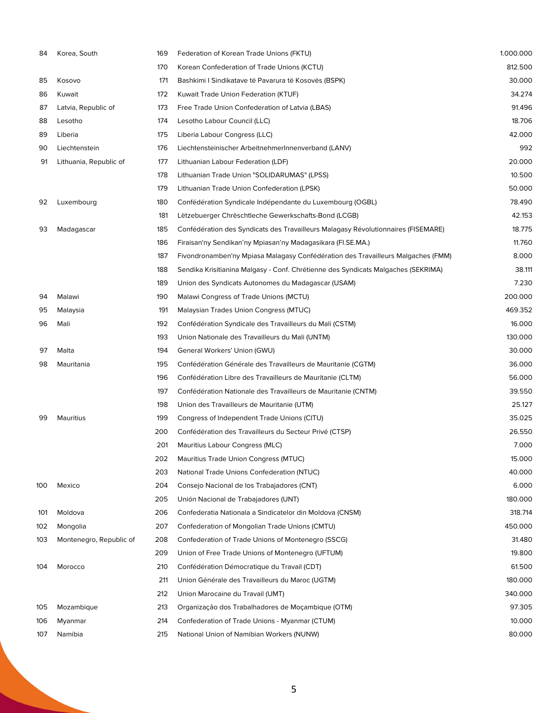| 84  | Korea, South            | 169 | Federation of Korean Trade Unions (FKTU)                                          | 1.000.000 |
|-----|-------------------------|-----|-----------------------------------------------------------------------------------|-----------|
|     |                         | 170 | Korean Confederation of Trade Unions (KCTU)                                       | 812.500   |
| 85  | Kosovo                  | 171 | Bashkimi I Sindikatave të Pavarura të Kosovës (BSPK)                              | 30.000    |
| 86  | Kuwait                  | 172 | Kuwait Trade Union Federation (KTUF)                                              | 34.274    |
| 87  | Latvia, Republic of     | 173 | Free Trade Union Confederation of Latvia (LBAS)                                   | 91.496    |
| 88  | Lesotho                 | 174 | Lesotho Labour Council (LLC)                                                      | 18.706    |
| 89  | Liberia                 | 175 | Liberia Labour Congress (LLC)                                                     | 42.000    |
| 90  | Liechtenstein           | 176 | Liechtensteinischer ArbeitnehmerInnenverband (LANV)                               | 992       |
| 91  | Lithuania, Republic of  | 177 | Lithuanian Labour Federation (LDF)                                                | 20.000    |
|     |                         | 178 | Lithuanian Trade Union "SOLIDARUMAS" (LPSS)                                       | 10.500    |
|     |                         | 179 | Lithuanian Trade Union Confederation (LPSK)                                       | 50.000    |
| 92  | Luxembourg              | 180 | Confédération Syndicale Indépendante du Luxembourg (OGBL)                         | 78.490    |
|     |                         | 181 | Lëtzebuerger Chrëschtleche Gewerkschafts-Bond (LCGB)                              | 42.153    |
| 93  | Madagascar              | 185 | Confédération des Syndicats des Travailleurs Malagasy Révolutionnaires (FISEMARE) | 18.775    |
|     |                         | 186 | Firaisan'ny Sendikan'ny Mpiasan'ny Madagasikara (Fl.SE.MA.)                       | 11.760    |
|     |                         | 187 | Fivondronamben'ny Mpiasa Malagasy Confédération des Travailleurs Malgaches (FMM)  | 8.000     |
|     |                         | 188 | Sendika Krisitianina Malgasy - Conf. Chrétienne des Syndicats Malgaches (SEKRIMA) | 38.111    |
|     |                         | 189 | Union des Syndicats Autonomes du Madagascar (USAM)                                | 7.230     |
| 94  | Malawi                  | 190 | Malawi Congress of Trade Unions (MCTU)                                            | 200.000   |
| 95  | Malaysia                | 191 | Malaysian Trades Union Congress (MTUC)                                            | 469.352   |
| 96  | Mali                    | 192 | Confédération Syndicale des Travailleurs du Mali (CSTM)                           | 16.000    |
|     |                         | 193 | Union Nationale des Travailleurs du Mali (UNTM)                                   | 130.000   |
| 97  | Malta                   | 194 | General Workers' Union (GWU)                                                      | 30.000    |
| 98  | Mauritania              | 195 | Confédération Générale des Travailleurs de Mauritanie (CGTM)                      | 36.000    |
|     |                         | 196 | Confédération Libre des Travailleurs de Mauritanie (CLTM)                         | 56.000    |
|     |                         | 197 | Confédération Nationale des Travailleurs de Mauritanie (CNTM)                     | 39.550    |
|     |                         | 198 | Union des Travailleurs de Mauritanie (UTM)                                        | 25.127    |
| 99  | Mauritius               | 199 | Congress of Independent Trade Unions (CITU)                                       | 35.025    |
|     |                         | 200 | Confédération des Travailleurs du Secteur Privé (CTSP)                            | 26.550    |
|     |                         | 201 | Mauritius Labour Congress (MLC)                                                   | 7.000     |
|     |                         | 202 | Mauritius Trade Union Congress (MTUC)                                             | 15.000    |
|     |                         | 203 | National Trade Unions Confederation (NTUC)                                        | 40.000    |
| 100 | Mexico                  | 204 | Consejo Nacional de los Trabajadores (CNT)                                        | 6.000     |
|     |                         | 205 | Unión Nacional de Trabajadores (UNT)                                              | 180.000   |
| 101 | Moldova                 | 206 | Confederatia Nationala a Sindicatelor din Moldova (CNSM)                          | 318.714   |
| 102 | Mongolia                | 207 | Confederation of Mongolian Trade Unions (CMTU)                                    | 450.000   |
| 103 | Montenegro, Republic of | 208 | Confederation of Trade Unions of Montenegro (SSCG)                                | 31.480    |
|     |                         | 209 | Union of Free Trade Unions of Montenegro (UFTUM)                                  | 19.800    |
| 104 | Morocco                 | 210 | Confédération Démocratique du Travail (CDT)                                       | 61.500    |
|     |                         | 211 | Union Générale des Travailleurs du Maroc (UGTM)                                   | 180.000   |
|     |                         | 212 | Union Marocaine du Travail (UMT)                                                  | 340.000   |
| 105 | Mozambique              | 213 | Organização dos Trabalhadores de Moçambique (OTM)                                 | 97.305    |
| 106 | Myanmar                 | 214 | Confederation of Trade Unions - Myanmar (CTUM)                                    | 10.000    |
| 107 | Namibia                 | 215 | National Union of Namibian Workers (NUNW)                                         | 80.000    |
|     |                         |     |                                                                                   |           |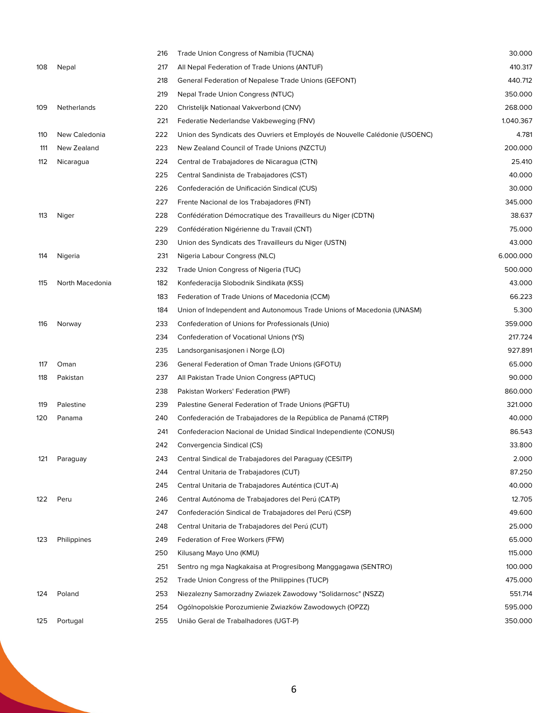|     |                 | 216 | Trade Union Congress of Namibia (TUCNA)                                     | 30.000    |
|-----|-----------------|-----|-----------------------------------------------------------------------------|-----------|
| 108 | <b>Nepal</b>    | 217 | All Nepal Federation of Trade Unions (ANTUF)                                | 410.317   |
|     |                 | 218 | General Federation of Nepalese Trade Unions (GEFONT)                        | 440.712   |
|     |                 | 219 | Nepal Trade Union Congress (NTUC)                                           | 350.000   |
| 109 | Netherlands     | 220 | Christelijk Nationaal Vakverbond (CNV)                                      | 268.000   |
|     |                 | 221 | Federatie Nederlandse Vakbeweging (FNV)                                     | 1.040.367 |
| 110 | New Caledonia   | 222 | Union des Syndicats des Ouvriers et Employés de Nouvelle Calédonie (USOENC) | 4.781     |
| 111 | New Zealand     | 223 | New Zealand Council of Trade Unions (NZCTU)                                 | 200.000   |
| 112 | Nicaragua       | 224 | Central de Trabajadores de Nicaragua (CTN)                                  | 25.410    |
|     |                 | 225 | Central Sandinista de Trabajadores (CST)                                    | 40.000    |
|     |                 | 226 | Confederación de Unificación Sindical (CUS)                                 | 30.000    |
|     |                 | 227 | Frente Nacional de los Trabajadores (FNT)                                   | 345.000   |
| 113 | Niger           | 228 | Confédération Démocratique des Travailleurs du Niger (CDTN)                 | 38.637    |
|     |                 | 229 | Confédération Nigérienne du Travail (CNT)                                   | 75.000    |
|     |                 | 230 | Union des Syndicats des Travailleurs du Niger (USTN)                        | 43.000    |
| 114 | Nigeria         | 231 | Nigeria Labour Congress (NLC)                                               | 6.000.000 |
|     |                 | 232 | Trade Union Congress of Nigeria (TUC)                                       | 500.000   |
| 115 | North Macedonia | 182 | Konfederacija Slobodnik Sindikata (KSS)                                     | 43.000    |
|     |                 | 183 | Federation of Trade Unions of Macedonia (CCM)                               | 66.223    |
|     |                 | 184 | Union of Independent and Autonomous Trade Unions of Macedonia (UNASM)       | 5.300     |
| 116 | Norway          | 233 | Confederation of Unions for Professionals (Unio)                            | 359.000   |
|     |                 | 234 | Confederation of Vocational Unions (YS)                                     | 217.724   |
|     |                 | 235 | Landsorganisasjonen i Norge (LO)                                            | 927.891   |
| 117 | Oman            | 236 | General Federation of Oman Trade Unions (GFOTU)                             | 65.000    |
| 118 | Pakistan        | 237 | All Pakistan Trade Union Congress (APTUC)                                   | 90.000    |
|     |                 | 238 | Pakistan Workers' Federation (PWF)                                          | 860.000   |
| 119 | Palestine       | 239 | Palestine General Federation of Trade Unions (PGFTU)                        | 321.000   |
| 120 | Panama          | 240 | Confederación de Trabajadores de la República de Panamá (CTRP)              | 40.000    |
|     |                 | 241 | Confederacion Nacional de Unidad Sindical Independiente (CONUSI)            | 86.543    |
|     |                 | 242 | Convergencia Sindical (CS)                                                  | 33.800    |
| 121 | Paraguay        | 243 | Central Sindical de Trabajadores del Paraguay (CESITP)                      | 2.000     |
|     |                 | 244 | Central Unitaria de Trabajadores (CUT)                                      | 87.250    |
|     |                 | 245 | Central Unitaria de Trabajadores Auténtica (CUT-A)                          | 40.000    |
| 122 | Peru            | 246 | Central Autónoma de Trabajadores del Perú (CATP)                            | 12.705    |
|     |                 | 247 | Confederación Sindical de Trabajadores del Perú (CSP)                       | 49.600    |
|     |                 | 248 | Central Unitaria de Trabajadores del Perú (CUT)                             | 25.000    |
| 123 | Philippines     | 249 | Federation of Free Workers (FFW)                                            | 65.000    |
|     |                 | 250 | Kilusang Mayo Uno (KMU)                                                     | 115.000   |
|     |                 | 251 | Sentro ng mga Nagkakaisa at Progresibong Manggagawa (SENTRO)                | 100.000   |
|     |                 | 252 | Trade Union Congress of the Philippines (TUCP)                              | 475.000   |
| 124 | Poland          | 253 | Niezalezny Samorzadny Zwiazek Zawodowy "Solidarnosc" (NSZZ)                 | 551.714   |
|     |                 | 254 | Ogólnopolskie Porozumienie Zwiazków Zawodowych (OPZZ)                       | 595.000   |
| 125 | Portugal        | 255 | União Geral de Trabalhadores (UGT-P)                                        | 350.000   |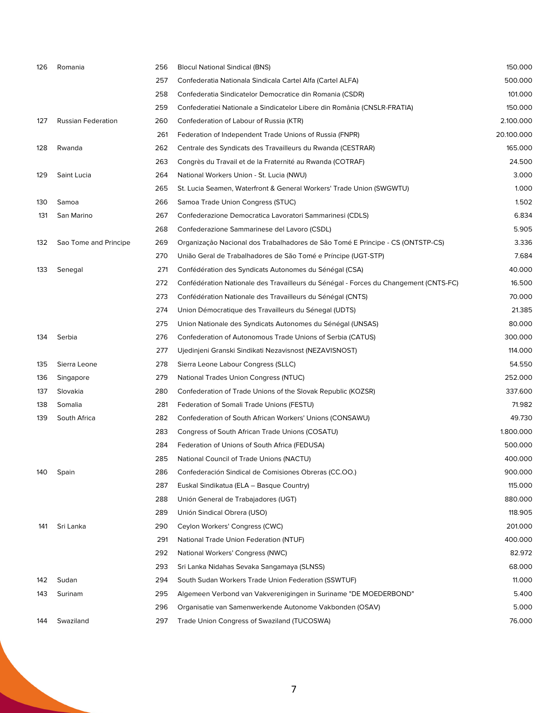| 126 | Romania               | 256 | <b>Blocul National Sindical (BNS)</b>                                                | 150.000    |
|-----|-----------------------|-----|--------------------------------------------------------------------------------------|------------|
|     |                       | 257 | Confederatia Nationala Sindicala Cartel Alfa (Cartel ALFA)                           | 500.000    |
|     |                       | 258 | Confederatia Sindicatelor Democratice din Romania (CSDR)                             | 101.000    |
|     |                       | 259 | Confederatiei Nationale a Sindicatelor Libere din România (CNSLR-FRATIA)             | 150.000    |
| 127 | Russian Federation    | 260 | Confederation of Labour of Russia (KTR)                                              | 2.100.000  |
|     |                       | 261 | Federation of Independent Trade Unions of Russia (FNPR)                              | 20.100.000 |
| 128 | Rwanda                | 262 | Centrale des Syndicats des Travailleurs du Rwanda (CESTRAR)                          | 165.000    |
|     |                       | 263 | Congrès du Travail et de la Fraternité au Rwanda (COTRAF)                            | 24.500     |
| 129 | Saint Lucia           | 264 | National Workers Union - St. Lucia (NWU)                                             | 3.000      |
|     |                       | 265 | St. Lucia Seamen, Waterfront & General Workers' Trade Union (SWGWTU)                 | 1.000      |
| 130 | Samoa                 | 266 | Samoa Trade Union Congress (STUC)                                                    | 1.502      |
| 131 | San Marino            | 267 | Confederazione Democratica Lavoratori Sammarinesi (CDLS)                             | 6.834      |
|     |                       | 268 | Confederazione Sammarinese del Lavoro (CSDL)                                         | 5.905      |
| 132 | Sao Tome and Principe | 269 | Organização Nacional dos Trabalhadores de São Tomé E Principe - CS (ONTSTP-CS)       | 3.336      |
|     |                       | 270 | União Geral de Trabalhadores de São Tomé e Príncipe (UGT-STP)                        | 7.684      |
| 133 | Senegal               | 271 | Confédération des Syndicats Autonomes du Sénégal (CSA)                               | 40.000     |
|     |                       | 272 | Confédération Nationale des Travailleurs du Sénégal - Forces du Changement (CNTS-FC) | 16.500     |
|     |                       | 273 | Confédération Nationale des Travailleurs du Sénégal (CNTS)                           | 70.000     |
|     |                       | 274 | Union Démocratique des Travailleurs du Sénegal (UDTS)                                | 21.385     |
|     |                       | 275 | Union Nationale des Syndicats Autonomes du Sénégal (UNSAS)                           | 80.000     |
| 134 | Serbia                | 276 | Confederation of Autonomous Trade Unions of Serbia (CATUS)                           | 300.000    |
|     |                       | 277 | Ujedinjeni Granski Sindikati Nezavisnost (NEZAVISNOST)                               | 114.000    |
| 135 | Sierra Leone          | 278 | Sierra Leone Labour Congress (SLLC)                                                  | 54.550     |
| 136 | Singapore             | 279 | National Trades Union Congress (NTUC)                                                | 252.000    |
| 137 | Slovakia              | 280 | Confederation of Trade Unions of the Slovak Republic (KOZSR)                         | 337.600    |
| 138 | Somalia               | 281 | Federation of Somali Trade Unions (FESTU)                                            | 71.982     |
| 139 | South Africa          | 282 | Confederation of South African Workers' Unions (CONSAWU)                             | 49.730     |
|     |                       | 283 | Congress of South African Trade Unions (COSATU)                                      | 1.800.000  |
|     |                       | 284 | Federation of Unions of South Africa (FEDUSA)                                        | 500.000    |
|     |                       | 285 | National Council of Trade Unions (NACTU)                                             | 400.000    |
| 140 | Spain                 | 286 | Confederación Sindical de Comisiones Obreras (CC.OO.)                                | 900.000    |
|     |                       | 287 | Euskal Sindikatua (ELA – Basque Country)                                             | 115.000    |
|     |                       | 288 | Unión General de Trabajadores (UGT)                                                  | 880.000    |
|     |                       | 289 | Unión Sindical Obrera (USO)                                                          | 118.905    |
| 141 | Sri Lanka             | 290 | Ceylon Workers' Congress (CWC)                                                       | 201.000    |
|     |                       | 291 | National Trade Union Federation (NTUF)                                               | 400.000    |
|     |                       | 292 | National Workers' Congress (NWC)                                                     | 82.972     |
|     |                       | 293 | Sri Lanka Nidahas Sevaka Sangamaya (SLNSS)                                           | 68.000     |
| 142 | Sudan                 | 294 | South Sudan Workers Trade Union Federation (SSWTUF)                                  | 11.000     |
| 143 | Surinam               | 295 | Algemeen Verbond van Vakverenigingen in Suriname "DE MOEDERBOND"                     | 5.400      |
|     |                       | 296 | Organisatie van Samenwerkende Autonome Vakbonden (OSAV)                              | 5.000      |
| 144 | Swaziland             | 297 | Trade Union Congress of Swaziland (TUCOSWA)                                          | 76.000     |